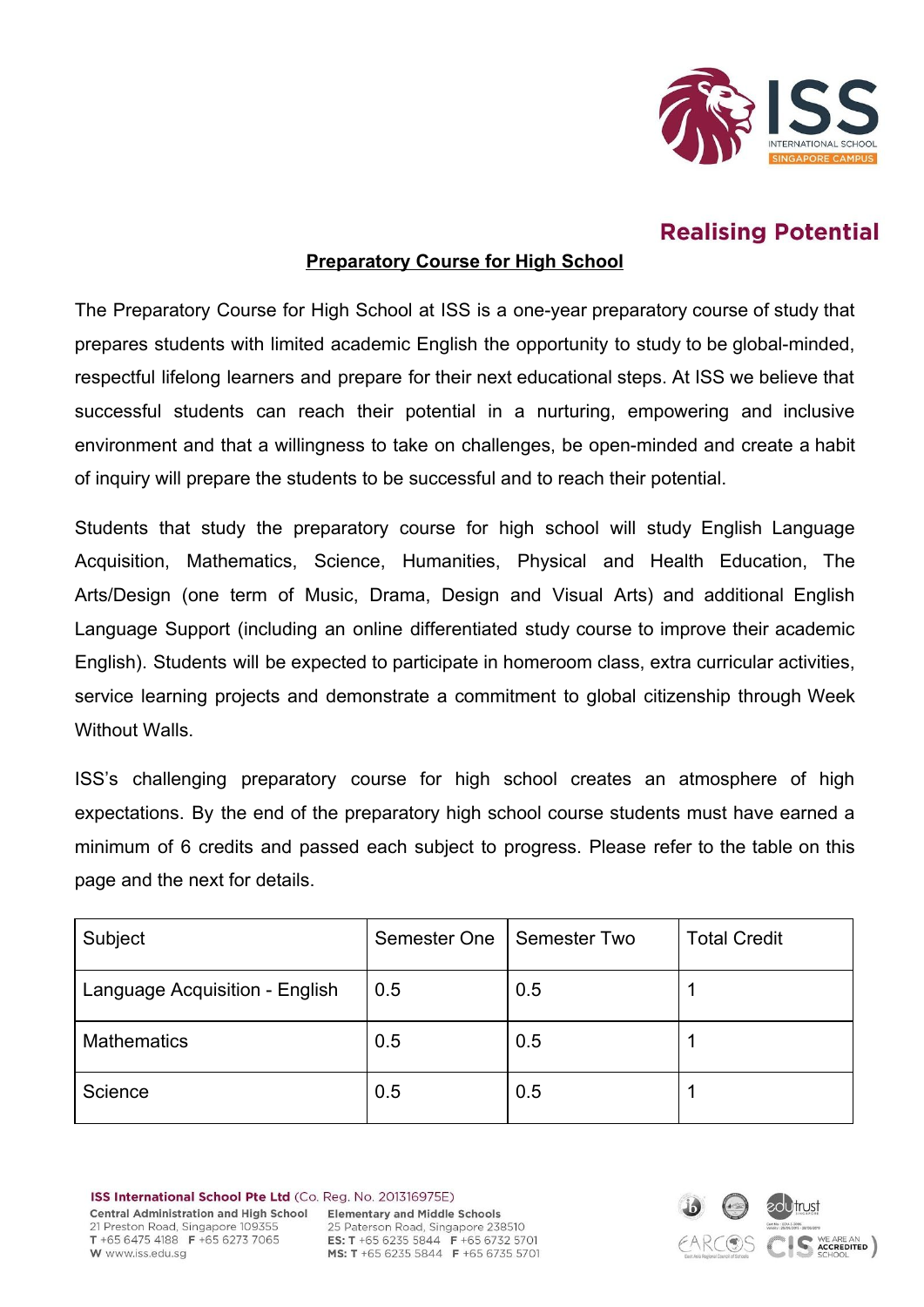

# **Realising Potential**

## **Preparatory Course for High School**

The Preparatory Course for High School at ISS is a one-year preparatory course of study that prepares students with limited academic English the opportunity to study to be global-minded, respectful lifelong learners and prepare for their next educational steps. At ISS we believe that successful students can reach their potential in a nurturing, empowering and inclusive environment and that a willingness to take on challenges, be open-minded and create a habit of inquiry will prepare the students to be successful and to reach their potential.

Students that study the preparatory course for high school will study English Language Acquisition, Mathematics, Science, Humanities, Physical and Health Education, The Arts/Design (one term of Music, Drama, Design and Visual Arts) and additional English Language Support (including an online differentiated study course to improve their academic English). Students will be expected to participate in homeroom class, extra curricular activities, service learning projects and demonstrate a commitment to global citizenship through Week Without Walls.

ISS's challenging preparatory course for high school creates an atmosphere of high expectations. By the end of the preparatory high school course students must have earned a minimum of 6 credits and passed each subject to progress. Please refer to the table on this page and the next for details.

| Subject                        | Semester One | Semester Two | <b>Total Credit</b> |
|--------------------------------|--------------|--------------|---------------------|
| Language Acquisition - English | 0.5          | 0.5          |                     |
| <b>Mathematics</b>             | 0.5          | 0.5          |                     |
| Science                        | 0.5          | 0.5          |                     |

ISS International School Pte Ltd (Co. Reg. No. 201316975E) **Central Administration and High School** 21 Preston Road, Singapore 109355 T +65 6475 4188 F +65 6273 7065 W www.iss.edu.sa

**Elementary and Middle Schools** 25 Paterson Road, Singapore 238510 **ES: T** +65 6235 5844 **F** +65 6732 5701<br>**MS: T** +65 6235 5844 **F** +65 6735 5701

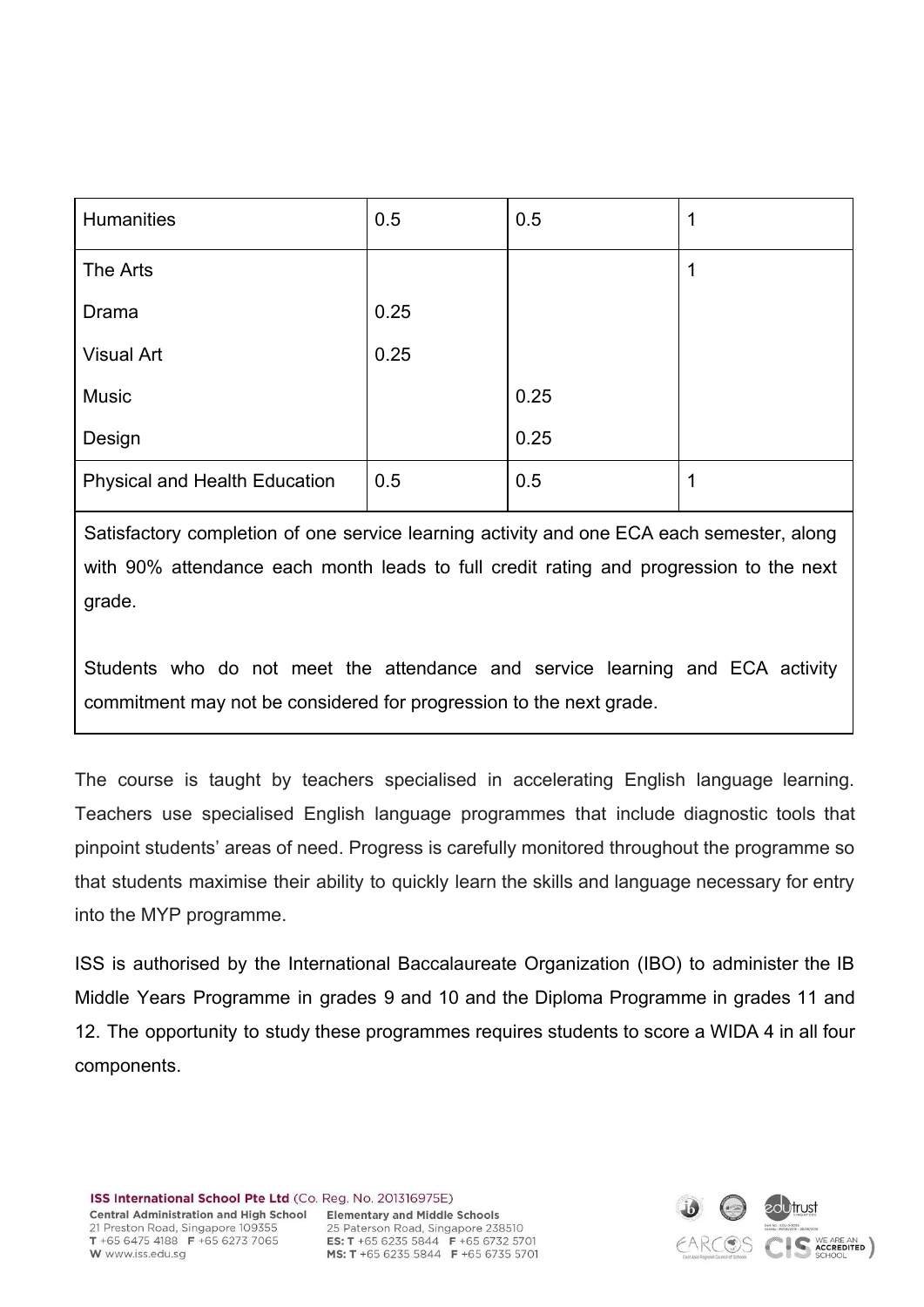| <b>Humanities</b>             | 0.5  | 0.5  |  |
|-------------------------------|------|------|--|
| The Arts                      |      |      |  |
| Drama                         | 0.25 |      |  |
| <b>Visual Art</b>             | 0.25 |      |  |
| <b>Music</b>                  |      | 0.25 |  |
| Design                        |      | 0.25 |  |
| Physical and Health Education | 0.5  | 0.5  |  |

Satisfactory completion of one service learning activity and one ECA each semester, along with 90% attendance each month leads to full credit rating and progression to the next grade.

Students who do not meet the attendance and service learning and ECA activity commitment may not be considered for progression to the next grade.

The course is taught by teachers specialised in accelerating English language learning. Teachers use specialised English language programmes that include diagnostic tools that pinpoint students' areas of need. Progress is carefully monitored throughout the programme so that students maximise their ability to quickly learn the skills and language necessary for entry into the MYP programme.

ISS is authorised by the International Baccalaureate Organization (IBO) to administer the IB Middle Years Programme in grades 9 and 10 and the Diploma Programme in grades 11 and 12. The opportunity to study these programmes requires students to score a WIDA 4 in all four components.

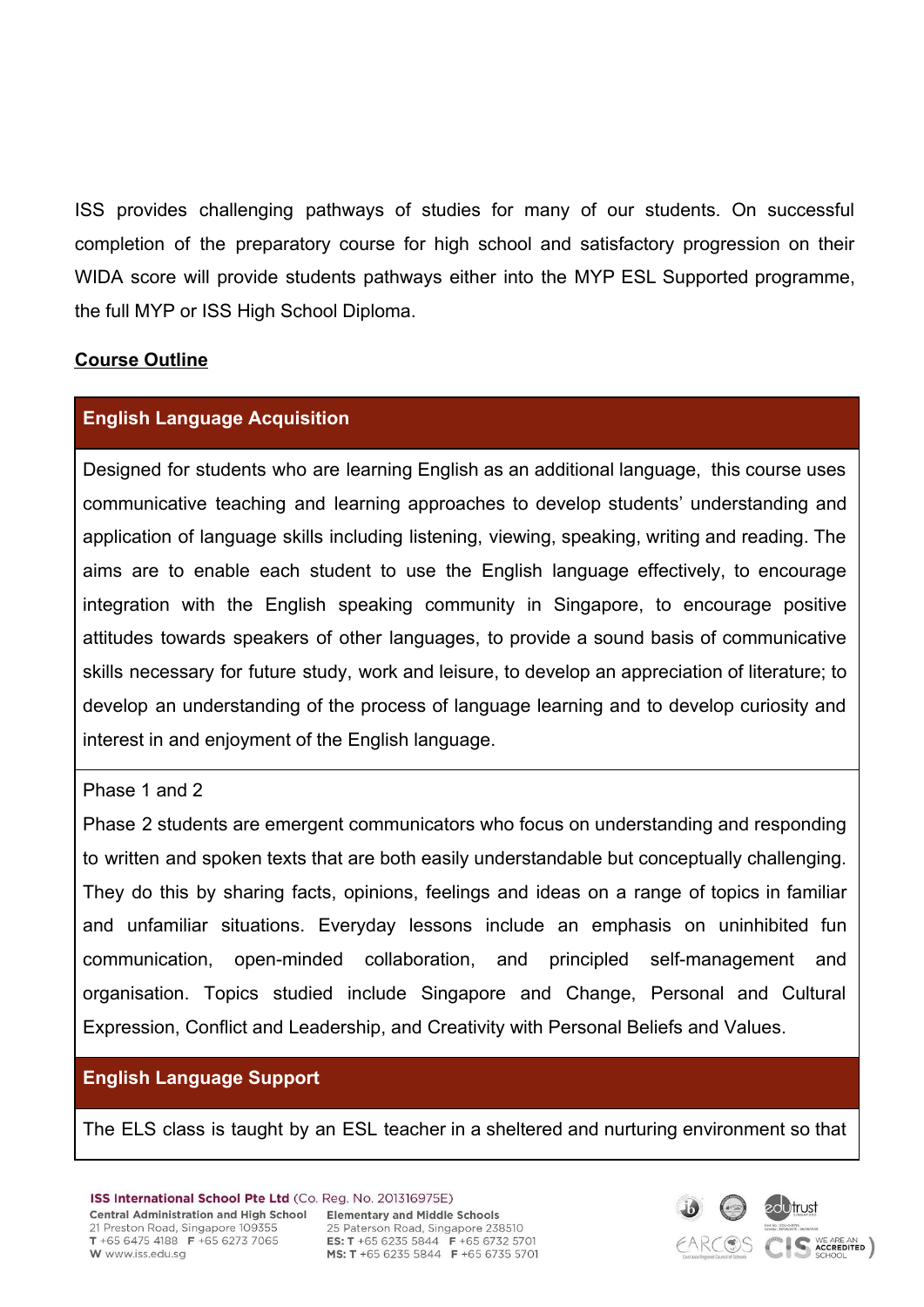ISS provides challenging pathways of studies for many of our students. On successful completion of the preparatory course for high school and satisfactory progression on their WIDA score will provide students pathways either into the MYP ESL Supported programme, the full MYP or ISS High School Diploma.

### **Course Outline**

# **English Language Acquisition**

Designed for students who are learning English as an additional language, this course uses communicative teaching and learning approaches to develop students' understanding and application of language skills including listening, viewing, speaking, writing and reading. The aims are to enable each student to use the English language effectively, to encourage integration with the English speaking community in Singapore, to encourage positive attitudes towards speakers of other languages, to provide a sound basis of communicative skills necessary for future study, work and leisure, to develop an appreciation of literature; to develop an understanding of the process of language learning and to develop curiosity and interest in and enjoyment of the English language.

### Phase 1 and 2

Phase 2 students are emergent communicators who focus on understanding and responding to written and spoken texts that are both easily understandable but conceptually challenging. They do this by sharing facts, opinions, feelings and ideas on a range of topics in familiar and unfamiliar situations. Everyday lessons include an emphasis on uninhibited fun communication, open-minded collaboration, and principled self-management and organisation. Topics studied include Singapore and Change, Personal and Cultural Expression, Conflict and Leadership, and Creativity with Personal Beliefs and Values.

# **English Language Support**

The ELS class is taught by an ESL teacher in a sheltered and nurturing environment so that

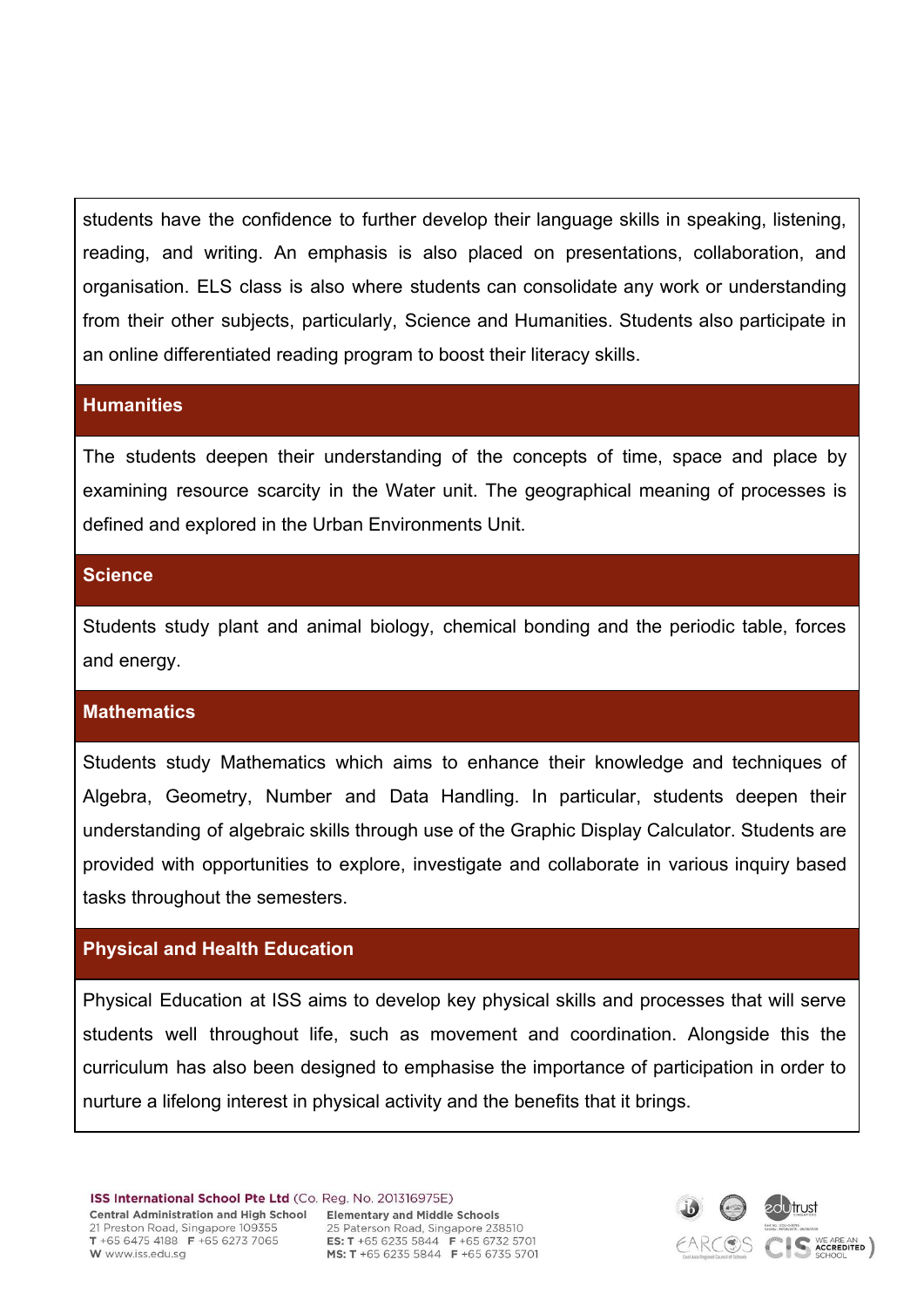students have the confidence to further develop their language skills in speaking, listening, reading, and writing. An emphasis is also placed on presentations, collaboration, and organisation. ELS class is also where students can consolidate any work or understanding from their other subjects, particularly, Science and Humanities. Students also participate in an online differentiated reading program to boost their literacy skills.

#### **Humanities**

The students deepen their understanding of the concepts of time, space and place by examining resource scarcity in the Water unit. The geographical meaning of processes is defined and explored in the Urban Environments Unit.

## **Science**

Students study plant and animal biology, chemical bonding and the periodic table, forces and energy.

### **Mathematics**

Students study Mathematics which aims to enhance their knowledge and techniques of Algebra, Geometry, Number and Data Handling. In particular, students deepen their understanding of algebraic skills through use of the Graphic Display Calculator. Students are provided with opportunities to explore, investigate and collaborate in various inquiry based tasks throughout the semesters.

# **Physical and Health Education**

Physical Education at ISS aims to develop key physical skills and processes that will serve students well throughout life, such as movement and coordination. Alongside this the curriculum has also been designed to emphasise the importance of participation in order to nurture a lifelong interest in physical activity and the benefits that it brings.